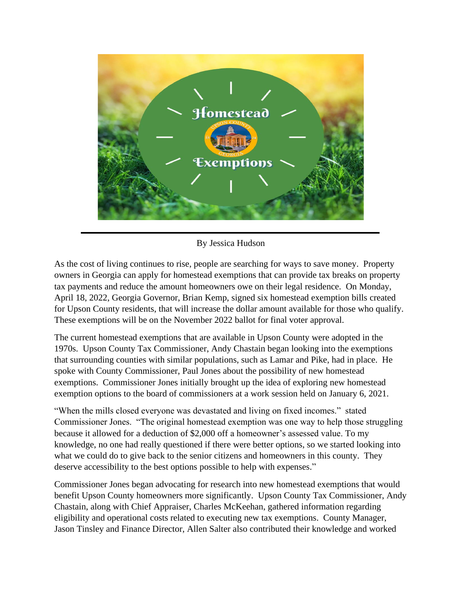

By Jessica Hudson

As the cost of living continues to rise, people are searching for ways to save money. Property owners in Georgia can apply for homestead exemptions that can provide tax breaks on property tax payments and reduce the amount homeowners owe on their legal residence. On Monday, April 18, 2022, Georgia Governor, Brian Kemp, signed six homestead exemption bills created for Upson County residents, that will increase the dollar amount available for those who qualify. These exemptions will be on the November 2022 ballot for final voter approval.

The current homestead exemptions that are available in Upson County were adopted in the 1970s. Upson County Tax Commissioner, Andy Chastain began looking into the exemptions that surrounding counties with similar populations, such as Lamar and Pike, had in place. He spoke with County Commissioner, Paul Jones about the possibility of new homestead exemptions. Commissioner Jones initially brought up the idea of exploring new homestead exemption options to the board of commissioners at a work session held on January 6, 2021.

"When the mills closed everyone was devastated and living on fixed incomes." stated Commissioner Jones. "The original homestead exemption was one way to help those struggling because it allowed for a deduction of \$2,000 off a homeowner's assessed value. To my knowledge, no one had really questioned if there were better options, so we started looking into what we could do to give back to the senior citizens and homeowners in this county. They deserve accessibility to the best options possible to help with expenses."

Commissioner Jones began advocating for research into new homestead exemptions that would benefit Upson County homeowners more significantly. Upson County Tax Commissioner, Andy Chastain, along with Chief Appraiser, Charles McKeehan, gathered information regarding eligibility and operational costs related to executing new tax exemptions. County Manager, Jason Tinsley and Finance Director, Allen Salter also contributed their knowledge and worked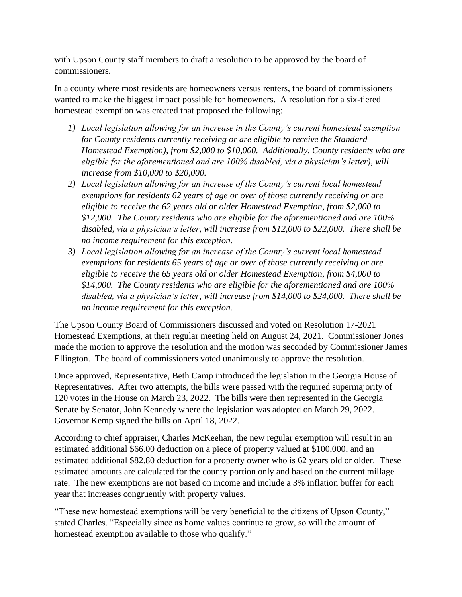with Upson County staff members to draft a resolution to be approved by the board of commissioners.

In a county where most residents are homeowners versus renters, the board of commissioners wanted to make the biggest impact possible for homeowners. A resolution for a six-tiered homestead exemption was created that proposed the following:

- *1) Local legislation allowing for an increase in the County's current homestead exemption for County residents currently receiving or are eligible to receive the Standard Homestead Exemption), from \$2,000 to \$10,000. Additionally, County residents who are eligible for the aforementioned and are 100% disabled, via a physician's letter), will increase from \$10,000 to \$20,000.*
- *2) Local legislation allowing for an increase of the County's current local homestead exemptions for residents 62 years of age or over of those currently receiving or are eligible to receive the 62 years old or older Homestead Exemption, from \$2,000 to \$12,000. The County residents who are eligible for the aforementioned and are 100% disabled, via a physician's letter, will increase from \$12,000 to \$22,000. There shall be no income requirement for this exception.*
- *3) Local legislation allowing for an increase of the County's current local homestead exemptions for residents 65 years of age or over of those currently receiving or are eligible to receive the 65 years old or older Homestead Exemption, from \$4,000 to \$14,000. The County residents who are eligible for the aforementioned and are 100% disabled, via a physician's letter, will increase from \$14,000 to \$24,000. There shall be no income requirement for this exception.*

The Upson County Board of Commissioners discussed and voted on Resolution 17-2021 Homestead Exemptions, at their regular meeting held on August 24, 2021. Commissioner Jones made the motion to approve the resolution and the motion was seconded by Commissioner James Ellington. The board of commissioners voted unanimously to approve the resolution.

Once approved, Representative, Beth Camp introduced the legislation in the Georgia House of Representatives. After two attempts, the bills were passed with the required supermajority of 120 votes in the House on March 23, 2022. The bills were then represented in the Georgia Senate by Senator, John Kennedy where the legislation was adopted on March 29, 2022. Governor Kemp signed the bills on April 18, 2022.

According to chief appraiser, Charles McKeehan, the new regular exemption will result in an estimated additional \$66.00 deduction on a piece of property valued at \$100,000, and an estimated additional \$82.80 deduction for a property owner who is 62 years old or older. These estimated amounts are calculated for the county portion only and based on the current millage rate. The new exemptions are not based on income and include a 3% inflation buffer for each year that increases congruently with property values.

"These new homestead exemptions will be very beneficial to the citizens of Upson County," stated Charles. "Especially since as home values continue to grow, so will the amount of homestead exemption available to those who qualify."